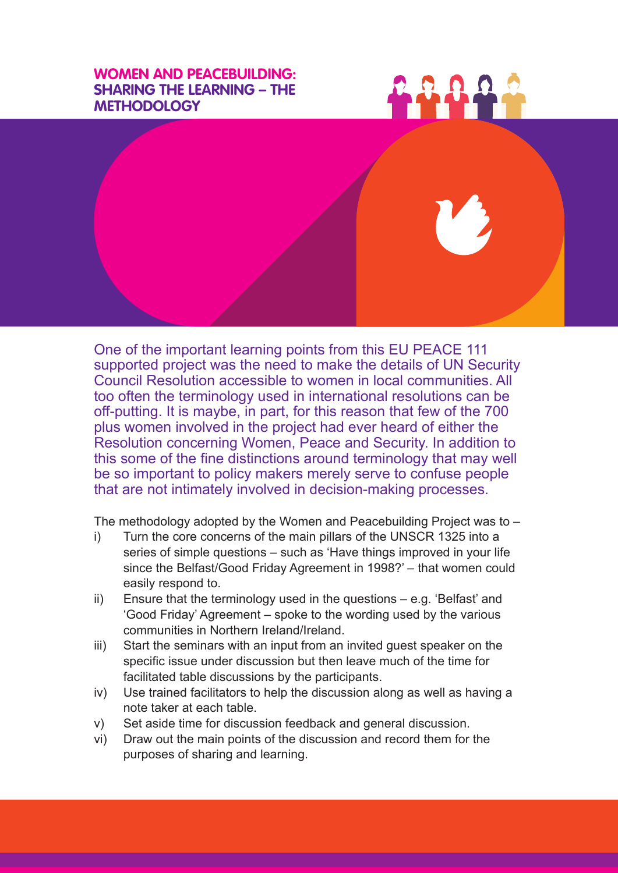## **WOMEN AND PEACEBUILDING: SHARING THE LEARNING – THE METHODOLOGY**





One of the important learning points from this EU PEACE 111 supported project was the need to make the details of UN Security Council Resolution accessible to women in local communities. All too often the terminology used in international resolutions can be off-putting. It is maybe, in part, for this reason that few of the 700 plus women involved in the project had ever heard of either the Resolution concerning Women, Peace and Security. In addition to this some of the fine distinctions around terminology that may well be so important to policy makers merely serve to confuse people that are not intimately involved in decision-making processes.

The methodology adopted by the Women and Peacebuilding Project was to –

- i) Turn the core concerns of the main pillars of the UNSCR 1325 into a series of simple questions – such as 'Have things improved in your life since the Belfast/Good Friday Agreement in 1998?' – that women could easily respond to.
- ii) Ensure that the terminology used in the questions e.g. 'Belfast' and 'Good Friday' Agreement – spoke to the wording used by the various communities in Northern Ireland/Ireland.
- iii) Start the seminars with an input from an invited guest speaker on the specific issue under discussion but then leave much of the time for facilitated table discussions by the participants.
- iv) Use trained facilitators to help the discussion along as well as having a note taker at each table.
- v) Set aside time for discussion feedback and general discussion.
- vi) Draw out the main points of the discussion and record them for the purposes of sharing and learning.